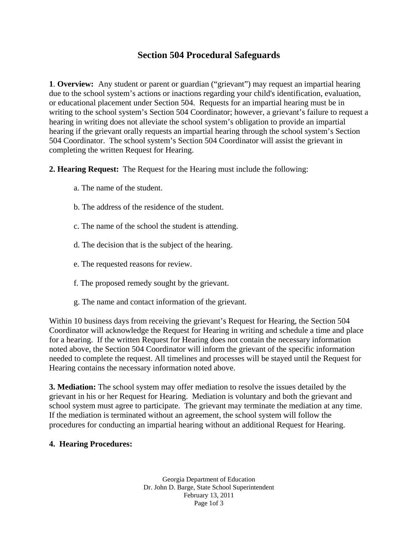## **Section 504 Procedural Safeguards**

**1**. **Overview:** Any student or parent or guardian ("grievant") may request an impartial hearing due to the school system's actions or inactions regarding your child's identification, evaluation, or educational placement under Section 504. Requests for an impartial hearing must be in writing to the school system's Section 504 Coordinator; however, a grievant's failure to request a hearing in writing does not alleviate the school system's obligation to provide an impartial hearing if the grievant orally requests an impartial hearing through the school system's Section 504 Coordinator. The school system's Section 504 Coordinator will assist the grievant in completing the written Request for Hearing.

**2. Hearing Request:** The Request for the Hearing must include the following:

- a. The name of the student.
- b. The address of the residence of the student.
- c. The name of the school the student is attending.
- d. The decision that is the subject of the hearing.
- e. The requested reasons for review.
- f. The proposed remedy sought by the grievant.
- g. The name and contact information of the grievant.

Within 10 business days from receiving the grievant's Request for Hearing, the Section 504 Coordinator will acknowledge the Request for Hearing in writing and schedule a time and place for a hearing. If the written Request for Hearing does not contain the necessary information noted above, the Section 504 Coordinator will inform the grievant of the specific information needed to complete the request. All timelines and processes will be stayed until the Request for Hearing contains the necessary information noted above.

**3. Mediation:** The school system may offer mediation to resolve the issues detailed by the grievant in his or her Request for Hearing. Mediation is voluntary and both the grievant and school system must agree to participate. The grievant may terminate the mediation at any time. If the mediation is terminated without an agreement, the school system will follow the procedures for conducting an impartial hearing without an additional Request for Hearing.

## **4. Hearing Procedures:**

Georgia Department of Education Dr. John D. Barge, State School Superintendent February 13, 2011 Page 1of 3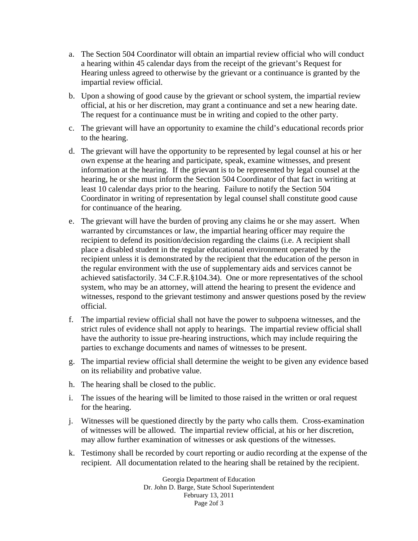- a. The Section 504 Coordinator will obtain an impartial review official who will conduct a hearing within 45 calendar days from the receipt of the grievant's Request for Hearing unless agreed to otherwise by the grievant or a continuance is granted by the impartial review official.
- b. Upon a showing of good cause by the grievant or school system, the impartial review official, at his or her discretion, may grant a continuance and set a new hearing date. The request for a continuance must be in writing and copied to the other party.
- c. The grievant will have an opportunity to examine the child's educational records prior to the hearing.
- d. The grievant will have the opportunity to be represented by legal counsel at his or her own expense at the hearing and participate, speak, examine witnesses, and present information at the hearing. If the grievant is to be represented by legal counsel at the hearing, he or she must inform the Section 504 Coordinator of that fact in writing at least 10 calendar days prior to the hearing. Failure to notify the Section 504 Coordinator in writing of representation by legal counsel shall constitute good cause for continuance of the hearing.
- e. The grievant will have the burden of proving any claims he or she may assert. When warranted by circumstances or law, the impartial hearing officer may require the recipient to defend its position/decision regarding the claims (i.e. A recipient shall place a disabled student in the regular educational environment operated by the recipient unless it is demonstrated by the recipient that the education of the person in the regular environment with the use of supplementary aids and services cannot be achieved satisfactorily. 34 C.F.R.§104.34). One or more representatives of the school system, who may be an attorney, will attend the hearing to present the evidence and witnesses, respond to the grievant testimony and answer questions posed by the review official.
- f. The impartial review official shall not have the power to subpoena witnesses, and the strict rules of evidence shall not apply to hearings. The impartial review official shall have the authority to issue pre-hearing instructions, which may include requiring the parties to exchange documents and names of witnesses to be present.
- g. The impartial review official shall determine the weight to be given any evidence based on its reliability and probative value.
- h. The hearing shall be closed to the public.
- i. The issues of the hearing will be limited to those raised in the written or oral request for the hearing.
- j. Witnesses will be questioned directly by the party who calls them. Cross-examination of witnesses will be allowed. The impartial review official, at his or her discretion, may allow further examination of witnesses or ask questions of the witnesses.
- k. Testimony shall be recorded by court reporting or audio recording at the expense of the recipient. All documentation related to the hearing shall be retained by the recipient.